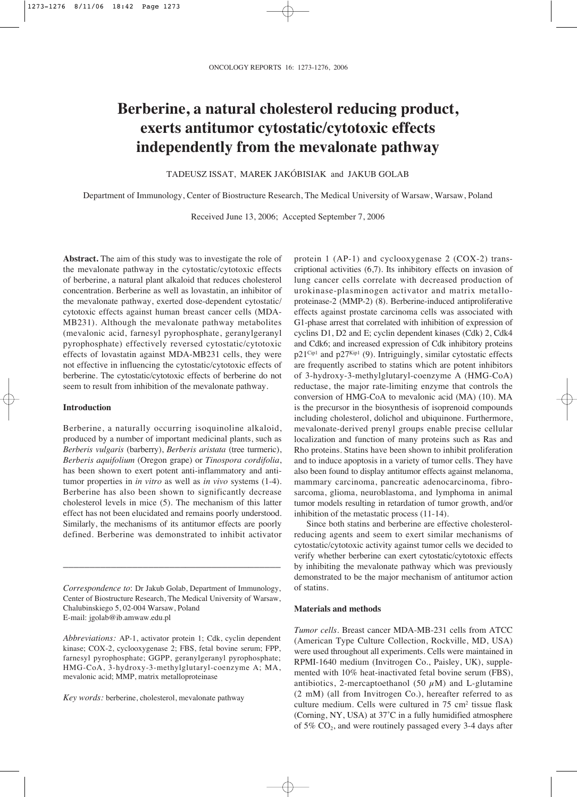# **Berberine, a natural cholesterol reducing product, exerts antitumor cytostatic/cytotoxic effects independently from the mevalonate pathway**

TADEUSZ ISSAT, MAREK JAKÓBISIAK and JAKUB GOLAB

Department of Immunology, Center of Biostructure Research, The Medical University of Warsaw, Warsaw, Poland

Received June 13, 2006; Accepted September 7, 2006

**Abstract.** The aim of this study was to investigate the role of the mevalonate pathway in the cytostatic/cytotoxic effects of berberine, a natural plant alkaloid that reduces cholesterol concentration. Berberine as well as lovastatin, an inhibitor of the mevalonate pathway, exerted dose-dependent cytostatic/ cytotoxic effects against human breast cancer cells (MDA-MB231). Although the mevalonate pathway metabolites (mevalonic acid, farnesyl pyrophosphate, geranylgeranyl pyrophosphate) effectively reversed cytostatic/cytotoxic effects of lovastatin against MDA-MB231 cells, they were not effective in influencing the cytostatic/cytotoxic effects of berberine. The cytostatic/cytotoxic effects of berberine do not seem to result from inhibition of the mevalonate pathway.

# **Introduction**

Berberine, a naturally occurring isoquinoline alkaloid, produced by a number of important medicinal plants, such as *Berberis vulgaris* (barberry), *Berberis aristata* (tree turmeric), *Berberis aquifolium* (Oregon grape) or *Tinospora cordifolia*, has been shown to exert potent anti-inflammatory and antitumor properties in *in vitro* as well as *in vivo* systems (1-4). Berberine has also been shown to significantly decrease cholesterol levels in mice (5). The mechanism of this latter effect has not been elucidated and remains poorly understood. Similarly, the mechanisms of its antitumor effects are poorly defined. Berberine was demonstrated to inhibit activator

*Correspondence to*: Dr Jakub Golab, Department of Immunology, Center of Biostructure Research, The Medical University of Warsaw, Chalubinskiego 5, 02-004 Warsaw, Poland E-mail: jgolab@ib.amwaw.edu.pl

\_\_\_\_\_\_\_\_\_\_\_\_\_\_\_\_\_\_\_\_\_\_\_\_\_\_\_\_\_\_\_\_\_\_\_\_\_\_\_\_\_

*Abbreviations:* AP-1, activator protein 1; Cdk, cyclin dependent kinase; COX-2, cyclooxygenase 2; FBS, fetal bovine serum; FPP, farnesyl pyrophosphate; GGPP, geranylgeranyl pyrophosphate; HMG-CoA, 3-hydroxy-3-methylglutaryl-coenzyme A; MA, mevalonic acid; MMP, matrix metalloproteinase

*Key words:* berberine, cholesterol, mevalonate pathway

protein 1 (AP-1) and cyclooxygenase 2 (COX-2) transcriptional activities (6,7). Its inhibitory effects on invasion of lung cancer cells correlate with decreased production of urokinase-plasminogen activator and matrix metalloproteinase-2 (MMP-2) (8). Berberine-induced antiproliferative effects against prostate carcinoma cells was associated with G1-phase arrest that correlated with inhibition of expression of cyclins D1, D2 and E; cyclin dependent kinases (Cdk) 2, Cdk4 and Cdk6; and increased expression of Cdk inhibitory proteins p21<sup>Cip1</sup> and p27<sup>Kip1</sup> (9). Intriguingly, similar cytostatic effects are frequently ascribed to statins which are potent inhibitors of 3-hydroxy-3-methylglutaryl-coenzyme A (HMG-CoA) reductase, the major rate-limiting enzyme that controls the conversion of HMG-CoA to mevalonic acid (MA) (10). MA is the precursor in the biosynthesis of isoprenoid compounds including cholesterol, dolichol and ubiquinone. Furthermore, mevalonate-derived prenyl groups enable precise cellular localization and function of many proteins such as Ras and Rho proteins. Statins have been shown to inhibit proliferation and to induce apoptosis in a variety of tumor cells. They have also been found to display antitumor effects against melanoma, mammary carcinoma, pancreatic adenocarcinoma, fibrosarcoma, glioma, neuroblastoma, and lymphoma in animal tumor models resulting in retardation of tumor growth, and/or inhibition of the metastatic process (11-14).

Since both statins and berberine are effective cholesterolreducing agents and seem to exert similar mechanisms of cytostatic/cytotoxic activity against tumor cells we decided to verify whether berberine can exert cytostatic/cytotoxic effects by inhibiting the mevalonate pathway which was previously demonstrated to be the major mechanism of antitumor action of statins.

# **Materials and methods**

*Tumor cells*. Breast cancer MDA-MB-231 cells from ATCC (American Type Culture Collection, Rockville, MD, USA) were used throughout all experiments. Cells were maintained in RPMI-1640 medium (Invitrogen Co., Paisley, UK), supplemented with 10% heat-inactivated fetal bovine serum (FBS), antibiotics, 2-mercaptoethanol (50  $\mu$ M) and L-glutamine (2 mM) (all from Invitrogen Co.), hereafter referred to as culture medium. Cells were cultured in 75 cm2 tissue flask (Corning, NY, USA) at 37˚C in a fully humidified atmosphere of  $5\%$  CO<sub>2</sub>, and were routinely passaged every 3-4 days after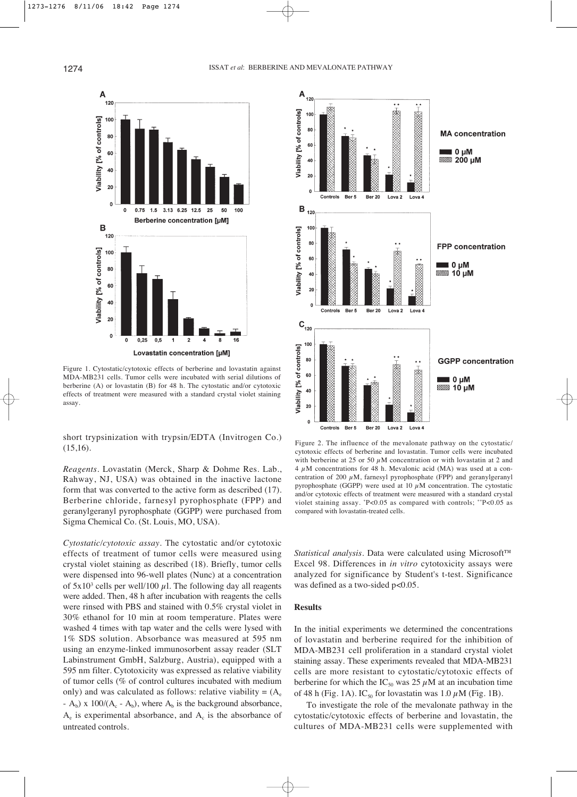

Figure 1. Cytostatic/cytotoxic effects of berberine and lovastatin against MDA-MB231 cells. Tumor cells were incubated with serial dilutions of berberine (A) or lovastatin (B) for 48 h. The cytostatic and/or cytotoxic effects of treatment were measured with a standard crystal violet staining assay.

short trypsinization with trypsin/EDTA (Invitrogen Co.) (15,16).

*Reagents*. Lovastatin (Merck, Sharp & Dohme Res. Lab., Rahway, NJ, USA) was obtained in the inactive lactone form that was converted to the active form as described (17). Berberine chloride, farnesyl pyrophosphate (FPP) and geranylgeranyl pyrophosphate (GGPP) were purchased from Sigma Chemical Co. (St. Louis, MO, USA).

*Cytostatic/cytotoxic assay*. The cytostatic and/or cytotoxic effects of treatment of tumor cells were measured using crystal violet staining as described (18). Briefly, tumor cells were dispensed into 96-well plates (Nunc) at a concentration of  $5x10^3$  cells per well/100  $\mu$ 1. The following day all reagents were added. Then, 48 h after incubation with reagents the cells were rinsed with PBS and stained with 0.5% crystal violet in 30% ethanol for 10 min at room temperature. Plates were washed 4 times with tap water and the cells were lysed with 1% SDS solution. Absorbance was measured at 595 nm using an enzyme-linked immunosorbent assay reader (SLT Labinstrument GmbH, Salzburg, Austria), equipped with a 595 nm filter. Cytotoxicity was expressed as relative viability of tumor cells (% of control cultures incubated with medium only) and was calculated as follows: relative viability =  $(A_e)$ -  $A_b$ ) x 100/( $A_c$  -  $A_b$ ), where  $A_b$  is the background absorbance,  $A_e$  is experimental absorbance, and  $A_c$  is the absorbance of untreated controls.



Figure 2. The influence of the mevalonate pathway on the cytostatic/ cytotoxic effects of berberine and lovastatin. Tumor cells were incubated with berberine at 25 or 50  $\mu$ M concentration or with lovastatin at 2 and  $4 \mu$ M concentrations for 48 h. Mevalonic acid (MA) was used at a concentration of 200  $\mu$ M, farnesyl pyrophosphate (FPP) and geranylgeranyl pyrophosphate (GGPP) were used at 10  $\mu$ M concentration. The cytostatic and/or cytotoxic effects of treatment were measured with a standard crystal violet staining assay. \*P<0.05 as compared with controls; \*\*P<0.05 as compared with lovastatin-treated cells.

*Statistical analysis*. Data were calculated using Microsoft™ Excel 98. Differences in *in vitro* cytotoxicity assays were analyzed for significance by Student's t-test. Significance was defined as a two-sided  $p<0.05$ .

# **Results**

In the initial experiments we determined the concentrations of lovastatin and berberine required for the inhibition of MDA-MB231 cell proliferation in a standard crystal violet staining assay. These experiments revealed that MDA-MB231 cells are more resistant to cytostatic/cytotoxic effects of berberine for which the IC<sub>50</sub> was 25  $\mu$ M at an incubation time of 48 h (Fig. 1A). IC<sub>50</sub> for lovastatin was 1.0  $\mu$ M (Fig. 1B).

To investigate the role of the mevalonate pathway in the cytostatic/cytotoxic effects of berberine and lovastatin, the cultures of MDA-MB231 cells were supplemented with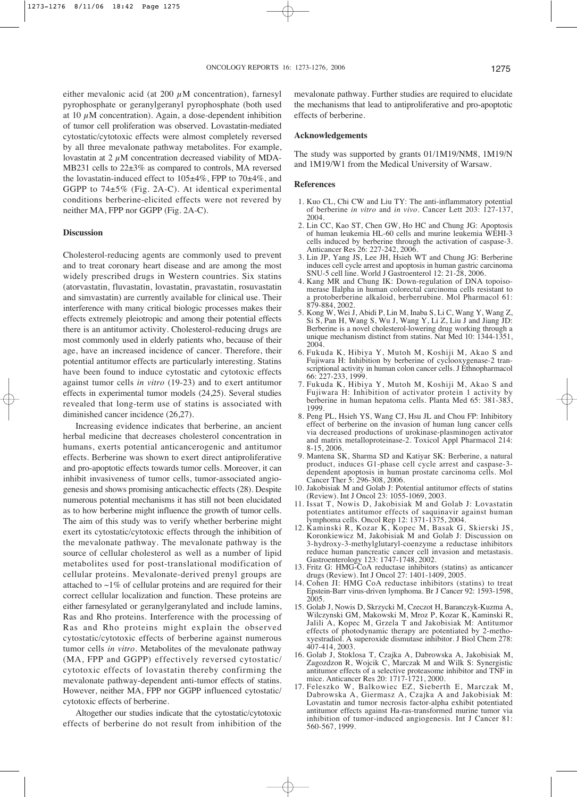either mevalonic acid (at 200  $\mu$ M concentration), farnesyl pyrophosphate or geranylgeranyl pyrophosphate (both used at 10  $\mu$ M concentration). Again, a dose-dependent inhibition of tumor cell proliferation was observed. Lovastatin-mediated cytostatic/cytotoxic effects were almost completely reversed by all three mevalonate pathway metabolites. For example, lovastatin at  $2 \mu$ M concentration decreased viability of MDA-MB231 cells to 22±3% as compared to controls, MA reversed the lovastatin-induced effect to  $105\pm4\%$ , FPP to  $70\pm4\%$ , and GGPP to 74±5% (Fig. 2A-C). At identical experimental conditions berberine-elicited effects were not revered by neither MA, FPP nor GGPP (Fig. 2A-C).

# **Discussion**

Cholesterol-reducing agents are commonly used to prevent and to treat coronary heart disease and are among the most widely prescribed drugs in Western countries. Six statins (atorvastatin, fluvastatin, lovastatin, pravastatin, rosuvastatin and simvastatin) are currently available for clinical use. Their interference with many critical biologic processes makes their effects extremely pleiotropic and among their potential effects there is an antitumor activity. Cholesterol-reducing drugs are most commonly used in elderly patients who, because of their age, have an increased incidence of cancer. Therefore, their potential antitumor effects are particularly interesting. Statins have been found to induce cytostatic and cytotoxic effects against tumor cells *in vitro* (19-23) and to exert antitumor effects in experimental tumor models (24,25). Several studies revealed that long-term use of statins is associated with diminished cancer incidence (26,27).

Increasing evidence indicates that berberine, an ancient herbal medicine that decreases cholesterol concentration in humans, exerts potential anticancerogenic and antitumor effects. Berberine was shown to exert direct antiproliferative and pro-apoptotic effects towards tumor cells. Moreover, it can inhibit invasiveness of tumor cells, tumor-associated angiogenesis and shows promising anticachectic effects (28). Despite numerous potential mechanisms it has still not been elucidated as to how berberine might influence the growth of tumor cells. The aim of this study was to verify whether berberine might exert its cytostatic/cytotoxic effects through the inhibition of the mevalonate pathway. The mevalonate pathway is the source of cellular cholesterol as well as a number of lipid metabolites used for post-translational modification of cellular proteins. Mevalonate-derived prenyl groups are attached to  $\sim$ 1% of cellular proteins and are required for their correct cellular localization and function. These proteins are either farnesylated or geranylgeranylated and include lamins, Ras and Rho proteins. Interference with the processing of Ras and Rho proteins might explain the observed cytostatic/cytotoxic effects of berberine against numerous tumor cells *in vitro*. Metabolites of the mevalonate pathway (MA, FPP and GGPP) effectively reversed cytostatic/ cytotoxic effects of lovastatin thereby confirming the mevalonate pathway-dependent anti-tumor effects of statins. However, neither MA, FPP nor GGPP influenced cytostatic/ cytotoxic effects of berberine.

Altogether our studies indicate that the cytostatic/cytotoxic effects of berberine do not result from inhibition of the mevalonate pathway. Further studies are required to elucidate the mechanisms that lead to antiproliferative and pro-apoptotic effects of berberine.

### **Acknowledgements**

The study was supported by grants 01/1M19/NM8, 1M19/N and 1M19/W1 from the Medical University of Warsaw.

### **References**

- 1. Kuo CL, Chi CW and Liu TY: The anti-inflammatory potential of berberine *in vitro* and *in vivo*. Cancer Lett 203: 127-137, 2004.
- 2. Lin CC, Kao ST, Chen GW, Ho HC and Chung JG: Apoptosis of human leukemia HL-60 cells and murine leukemia WEHI-3 cells induced by berberine through the activation of caspase-3. Anticancer Res 26: 227-242, 2006.
- 3. Lin JP, Yang JS, Lee JH, Hsieh WT and Chung JG: Berberine induces cell cycle arrest and apoptosis in human gastric carcinoma SNU-5 cell line. World J Gastroenterol 12: 21-28, 2006.
- 4. Kang MR and Chung IK: Down-regulation of DNA topoisomerase IIalpha in human colorectal carcinoma cells resistant to a protoberberine alkaloid, berberrubine. Mol Pharmacol 61: 879-884, 2002.
- 5. Kong W, Wei J, Abidi P, Lin M, Inaba S, Li C, Wang Y, Wang Z, Si S, Pan H, Wang S, Wu J, Wang Y, Li Z, Liu J and Jiang JD: Berberine is a novel cholesterol-lowering drug working through a unique mechanism distinct from statins. Nat Med 10: 1344-1351, 2004.
- 6. Fukuda K, Hibiya Y, Mutoh M, Koshiji M, Akao S and Fujiwara H: Inhibition by berberine of cyclooxygenase-2 transcriptional activity in human colon cancer cells. J Ethnopharmacol 66: 227-233, 1999.
- 7. Fukuda K, Hibiya Y, Mutoh M, Koshiji M, Akao S and Fujiwara H: Inhibition of activator protein 1 activity by berberine in human hepatoma cells. Planta Med 65: 381-383, 1999.
- 8. Peng PL, Hsieh YS, Wang CJ, Hsu JL and Chou FP: Inhibitory effect of berberine on the invasion of human lung cancer cells via decreased productions of urokinase-plasminogen activator and matrix metalloproteinase-2. Toxicol Appl Pharmacol 214: 8-15, 2006.
- 9. Mantena SK, Sharma SD and Katiyar SK: Berberine, a natural product, induces G1-phase cell cycle arrest and caspase-3 dependent apoptosis in human prostate carcinoma cells. Mol Cancer Ther 5: 296-308, 2006.
- 10. Jakobisiak M and Golab J: Potential antitumor effects of statins (Review). Int J Oncol 23: 1055-1069, 2003.
- 11. Issat T, Nowis D, Jakobisiak M and Golab J: Lovastatin potentiates antitumor effects of saquinavir against human lymphoma cells. Oncol Rep 12: 1371-1375, 2004.
- 12. Kaminski R, Kozar K, Kopec M, Basak G, Skierski JS, Koronkiewicz M, Jakobisiak M and Golab J: Discussion on 3-hydroxy-3-methylglutaryl-coenzyme a reductase inhibitors reduce human pancreatic cancer cell invasion and metastasis. Gastroenterology 123: 1747-1748, 2002.
- 13. Fritz G: HMG-CoA reductase inhibitors (statins) as anticancer drugs (Review). Int J Oncol 27: 1401-1409, 2005.
- 14. Cohen JI: HMG CoA reductase inhibitors (statins) to treat Epstein-Barr virus-driven lymphoma. Br J Cancer 92: 1593-1598, 2005.
- 15. Golab J, Nowis D, Skrzycki M, Czeczot H, Baranczyk-Kuzma A, Wilczynski GM, Makowski M, Mroz P, Kozar K, Kaminski R, Jalili A, Kopec M, Grzela T and Jakobisiak M: Antitumor effects of photodynamic therapy are potentiated by 2-methoxyestradiol. A superoxide dismutase inhibitor. J Biol Chem 278: 407-414, 2003.
- 16. Golab J, Stoklosa T, Czajka A, Dabrowska A, Jakobisiak M, Zagozdzon R, Wojcik C, Marczak M and Wilk S: Synergistic antitumor effects of a selective proteasome inhibitor and TNF in mice. Anticancer Res 20: 1717-1721, 2000.
- 17. Feleszko W, Balkowiec EZ, Sieberth E, Marczak M, Dabrowska A, Giermasz A, Czajka A and Jakobisiak M: Lovastatin and tumor necrosis factor-alpha exhibit potentiated antitumor effects against Ha-ras-transformed murine tumor via inhibition of tumor-induced angiogenesis. Int J Cancer 81: 560-567, 1999.